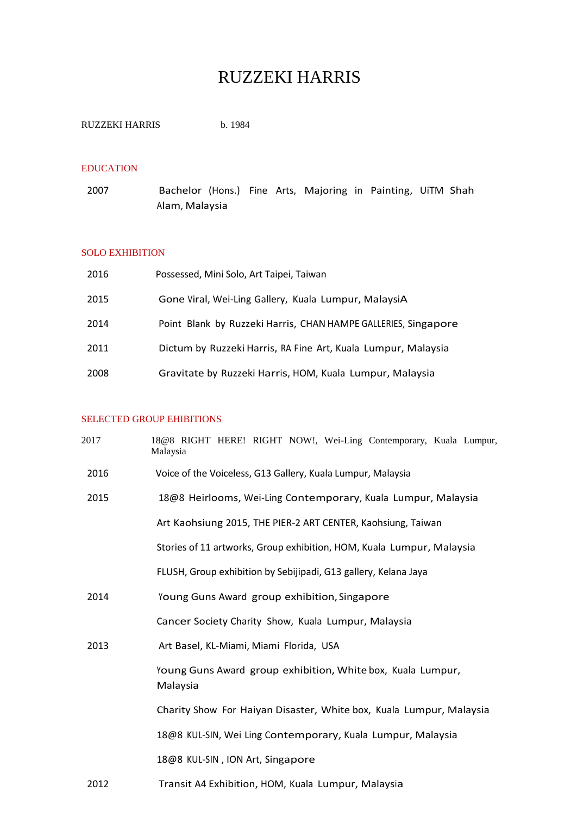# RUZZEKI HARRIS

| <b>RUZZEKI HARRIS</b> | b. 1984 |
|-----------------------|---------|
|                       |         |

## EDUCATION

2007 Bachelor (Hons.) Fine Arts, Majoring in Painting, UiTM Shah Alam, Malaysia

## SOLO EXHIBITION

| 2016 | Possessed, Mini Solo, Art Taipei, Taiwan                       |
|------|----------------------------------------------------------------|
| 2015 | Gone Viral, Wei-Ling Gallery, Kuala Lumpur, MalaysiA           |
| 2014 | Point Blank by Ruzzeki Harris, CHAN HAMPE GALLERIES, Singapore |
| 2011 | Dictum by Ruzzeki Harris, RA Fine Art, Kuala Lumpur, Malaysia  |
| 2008 | Gravitate by Ruzzeki Harris, HOM, Kuala Lumpur, Malaysia       |

## SELECTED GROUP EHIBITIONS

| 2017 | 18@8 RIGHT HERE! RIGHT NOW!, Wei-Ling Contemporary, Kuala Lumpur,<br>Malaysia |
|------|-------------------------------------------------------------------------------|
| 2016 | Voice of the Voiceless, G13 Gallery, Kuala Lumpur, Malaysia                   |
| 2015 | 18@8 Heirlooms, Wei-Ling Contemporary, Kuala Lumpur, Malaysia                 |
|      | Art Kaohsiung 2015, THE PIER-2 ART CENTER, Kaohsiung, Taiwan                  |
|      | Stories of 11 artworks, Group exhibition, HOM, Kuala Lumpur, Malaysia         |
|      | FLUSH, Group exhibition by Sebijipadi, G13 gallery, Kelana Jaya               |
| 2014 | Young Guns Award group exhibition, Singapore                                  |
|      | Cancer Society Charity Show, Kuala Lumpur, Malaysia                           |
| 2013 | Art Basel, KL-Miami, Miami Florida, USA                                       |
|      | Young Guns Award group exhibition, White box, Kuala Lumpur,<br>Malaysia       |
|      | Charity Show For Haiyan Disaster, White box, Kuala Lumpur, Malaysia           |
|      | 18@8 KUL-SIN, Wei Ling Contemporary, Kuala Lumpur, Malaysia                   |
|      | 18@8 KUL-SIN, ION Art, Singapore                                              |
| 2012 | Transit A4 Exhibition, HOM, Kuala Lumpur, Malaysia                            |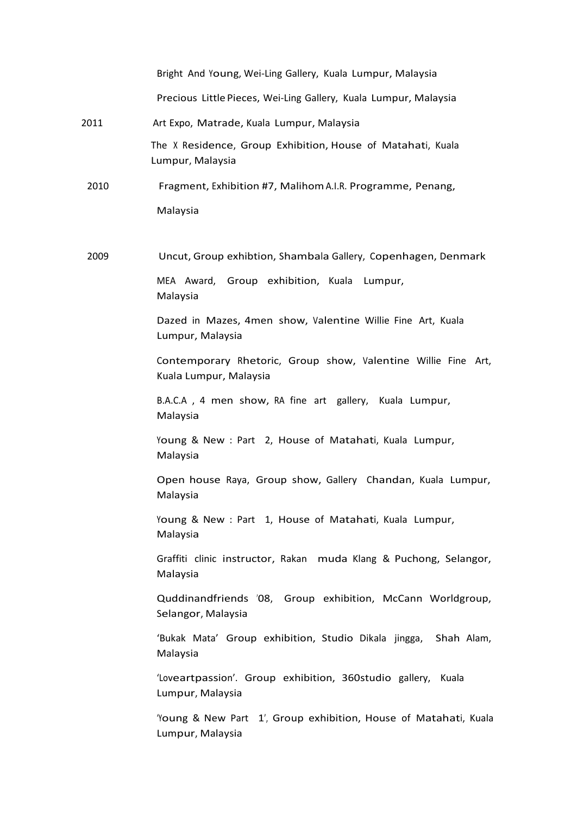|      | Bright And Young, Wei-Ling Gallery, Kuala Lumpur, Malaysia                              |
|------|-----------------------------------------------------------------------------------------|
|      | Precious Little Pieces, Wei-Ling Gallery, Kuala Lumpur, Malaysia                        |
| 2011 | Art Expo, Matrade, Kuala Lumpur, Malaysia                                               |
|      | The X Residence, Group Exhibition, House of Matahati, Kuala<br>Lumpur, Malaysia         |
| 2010 | Fragment, Exhibition #7, Malihom A.I.R. Programme, Penang,                              |
|      | Malaysia                                                                                |
| 2009 | Uncut, Group exhibtion, Shambala Gallery, Copenhagen, Denmark                           |
|      | MEA Award, Group exhibition, Kuala Lumpur,<br>Malaysia                                  |
|      | Dazed in Mazes, 4men show, Valentine Willie Fine Art, Kuala<br>Lumpur, Malaysia         |
|      | Contemporary Rhetoric, Group show, Valentine Willie Fine Art,<br>Kuala Lumpur, Malaysia |
|      | B.A.C.A, 4 men show, RA fine art gallery, Kuala Lumpur,<br>Malaysia                     |
|      | Young & New : Part 2, House of Matahati, Kuala Lumpur,<br>Malaysia                      |
|      | Open house Raya, Group show, Gallery Chandan, Kuala Lumpur,<br>Malaysia                 |
|      | Young & New : Part 1, House of Matahati, Kuala Lumpur,<br>Malaysia                      |
|      | Graffiti clinic instructor, Rakan muda Klang & Puchong, Selangor,<br>Malaysia           |
|      | Quddinandfriends '08, Group exhibition, McCann Worldgroup,<br>Selangor, Malaysia        |
|      | 'Bukak Mata' Group exhibition, Studio Dikala jingga, Shah Alam,<br>Malaysia             |
|      | 'Loveartpassion'. Group exhibition, 360studio gallery, Kuala<br>Lumpur, Malaysia        |
|      | Young & New Part 1', Group exhibition, House of Matahati, Kuala<br>Lumpur, Malaysia     |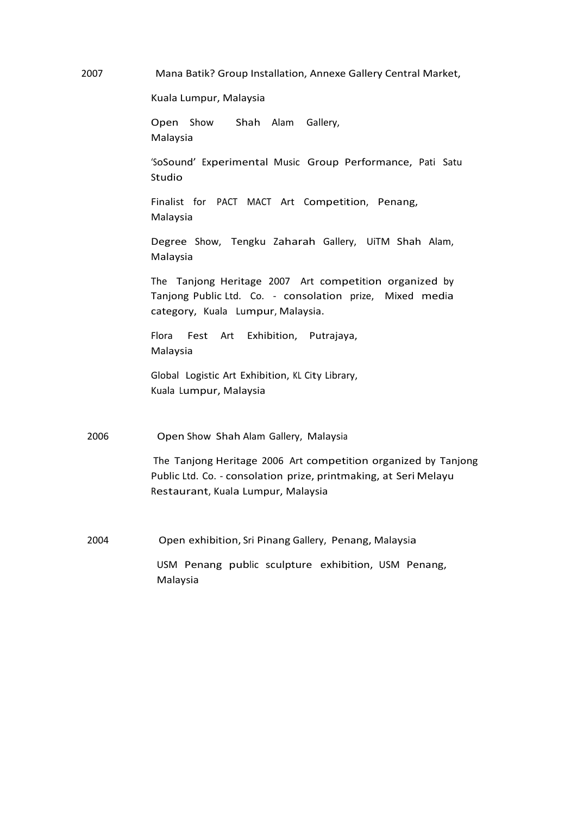2007 Mana Batik? Group Installation, Annexe Gallery Central Market,

Kuala Lumpur, Malaysia

Open Show Shah Alam Gallery, Malaysia

'SoSound' Experimental Music Group Performance, Pati Satu Studio

Finalist for PACT MACT Art Competition, Penang, Malaysia

Degree Show, Tengku Zaharah Gallery, UiTM Shah Alam, Malaysia

The Tanjong Heritage 2007 Art competition organized by Tanjong Public Ltd. Co. - consolation prize, Mixed media category, Kuala Lumpur, Malaysia.

Flora Fest Art Exhibition, Putrajaya, Malaysia

Global Logistic Art Exhibition, KL City Library, Kuala Lumpur, Malaysia

2006 Open Show Shah Alam Gallery, Malaysia

The Tanjong Heritage 2006 Art competition organized by Tanjong Public Ltd. Co. - consolation prize, printmaking, at Seri Melayu Restaurant, Kuala Lumpur, Malaysia

2004 Open exhibition, Sri Pinang Gallery, Penang, Malaysia

USM Penang public sculpture exhibition, USM Penang, Malaysia